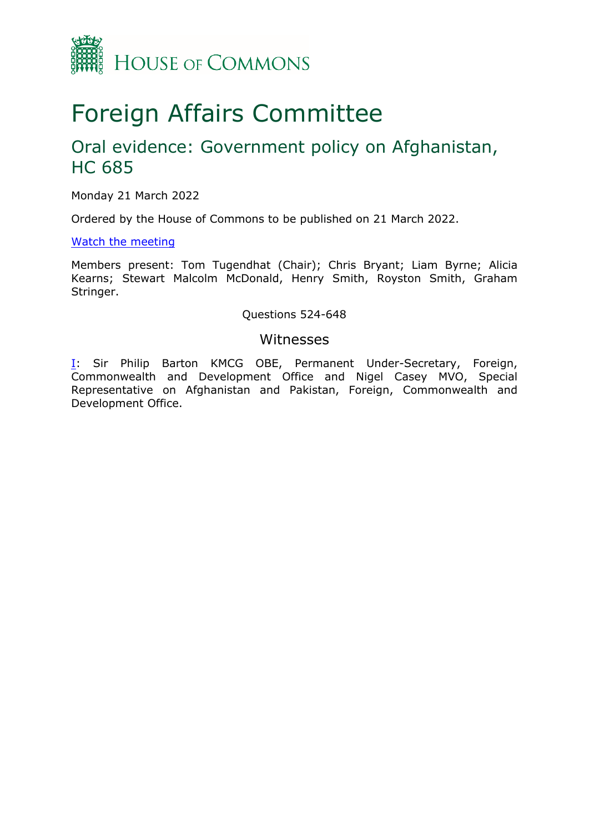

# Foreign Affairs Committee

## Oral evidence: Government policy on Afghanistan, HC 685

Monday 21 March 2022

Ordered by the House of Commons to be published on 21 March 2022.

## [Watch](https://parliamentlive.tv/event/index/f439519d-4e94-4197-bd24-0e36e13ab7e4) [the](https://parliamentlive.tv/event/index/f439519d-4e94-4197-bd24-0e36e13ab7e4) [meeting](https://parliamentlive.tv/event/index/f439519d-4e94-4197-bd24-0e36e13ab7e4)

Members present: Tom Tugendhat (Chair); Chris Bryant; Liam Byrne; Alicia Kearns; Stewart Malcolm McDonald, Henry Smith, Royston Smith, Graham Stringer.

## Questions 524-648

## Witnesses

[I:](#page-1-0) Sir Philip Barton KMCG OBE, Permanent Under-Secretary, Foreign, Commonwealth and Development Office and Nigel Casey MVO, Special Representative on Afghanistan and Pakistan, Foreign, Commonwealth and Development Office.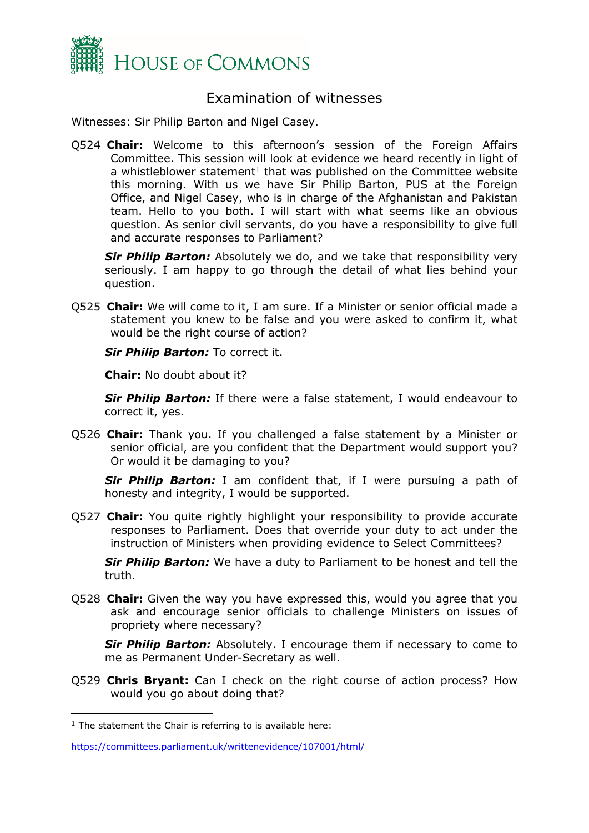

## <span id="page-1-0"></span>Examination of witnesses

Witnesses: Sir Philip Barton and Nigel Casey.

Q524 **Chair:** Welcome to this afternoon's session of the Foreign Affairs Committee. This session will look at evidence we heard recently in light of a whistleblower statement<sup>1</sup> that was published on the Committee website this morning. With us we have Sir Philip Barton, PUS at the Foreign Office, and Nigel Casey, who is in charge of the Afghanistan and Pakistan team. Hello to you both. I will start with what seems like an obvious question. As senior civil servants, do you have a responsibility to give full and accurate responses to Parliament?

*Sir Philip Barton:* Absolutely we do, and we take that responsibility very seriously. I am happy to go through the detail of what lies behind your question.

Q525 **Chair:** We will come to it, I am sure. If a Minister or senior official made a statement you knew to be false and you were asked to confirm it, what would be the right course of action?

*Sir Philip Barton:* To correct it.

**Chair:** No doubt about it?

*Sir Philip Barton:* If there were a false statement, I would endeavour to correct it, yes.

Q526 **Chair:** Thank you. If you challenged a false statement by a Minister or senior official, are you confident that the Department would support you? Or would it be damaging to you?

*Sir Philip Barton:* I am confident that, if I were pursuing a path of honesty and integrity, I would be supported.

Q527 **Chair:** You quite rightly highlight your responsibility to provide accurate responses to Parliament. Does that override your duty to act under the instruction of Ministers when providing evidence to Select Committees?

*Sir Philip Barton:* We have a duty to Parliament to be honest and tell the truth.

Q528 **Chair:** Given the way you have expressed this, would you agree that you ask and encourage senior officials to challenge Ministers on issues of propriety where necessary?

**Sir Philip Barton:** Absolutely. I encourage them if necessary to come to me as Permanent Under-Secretary as well.

Q529 **Chris Bryant:** Can I check on the right course of action process? How would you go about doing that?

 $1$  The statement the Chair is referring to is available here:

<https://committees.parliament.uk/writtenevidence/107001/html/>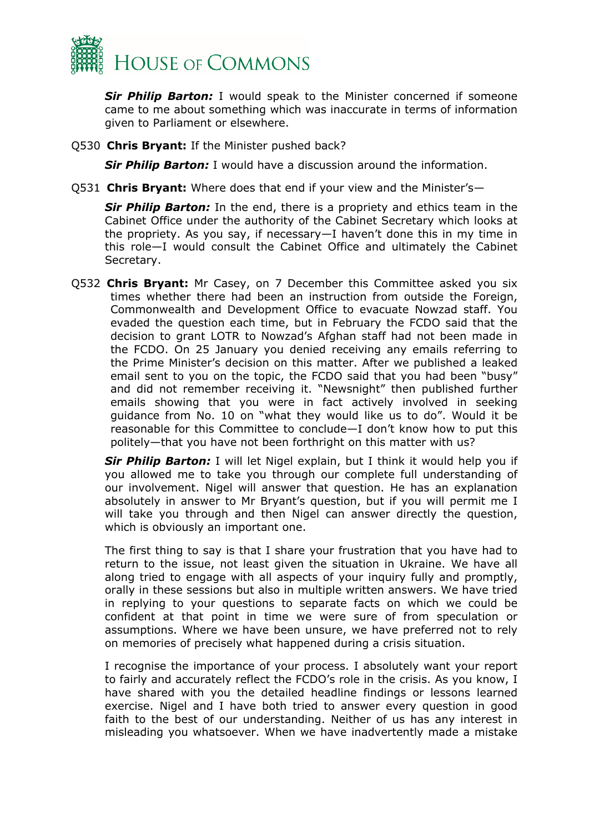

*Sir Philip Barton:* I would speak to the Minister concerned if someone came to me about something which was inaccurate in terms of information given to Parliament or elsewhere.

Q530 **Chris Bryant:** If the Minister pushed back?

**Sir Philip Barton:** I would have a discussion around the information.

Q531 **Chris Bryant:** Where does that end if your view and the Minister's—

*Sir Philip Barton:* In the end, there is a propriety and ethics team in the Cabinet Office under the authority of the Cabinet Secretary which looks at the propriety. As you say, if necessary—I haven't done this in my time in this role—I would consult the Cabinet Office and ultimately the Cabinet Secretary.

Q532 **Chris Bryant:** Mr Casey, on 7 December this Committee asked you six times whether there had been an instruction from outside the Foreign, Commonwealth and Development Office to evacuate Nowzad staff. You evaded the question each time, but in February the FCDO said that the decision to grant LOTR to Nowzad's Afghan staff had not been made in the FCDO. On 25 January you denied receiving any emails referring to the Prime Minister's decision on this matter. After we published a leaked email sent to you on the topic, the FCDO said that you had been "busy" and did not remember receiving it. "Newsnight" then published further emails showing that you were in fact actively involved in seeking guidance from No. 10 on "what they would like us to do". Would it be reasonable for this Committee to conclude—I don't know how to put this politely—that you have not been forthright on this matter with us?

*Sir Philip Barton:* I will let Nigel explain, but I think it would help you if you allowed me to take you through our complete full understanding of our involvement. Nigel will answer that question. He has an explanation absolutely in answer to Mr Bryant's question, but if you will permit me I will take you through and then Nigel can answer directly the question, which is obviously an important one.

The first thing to say is that I share your frustration that you have had to return to the issue, not least given the situation in Ukraine. We have all along tried to engage with all aspects of your inquiry fully and promptly, orally in these sessions but also in multiple written answers. We have tried in replying to your questions to separate facts on which we could be confident at that point in time we were sure of from speculation or assumptions. Where we have been unsure, we have preferred not to rely on memories of precisely what happened during a crisis situation.

I recognise the importance of your process. I absolutely want your report to fairly and accurately reflect the FCDO's role in the crisis. As you know, I have shared with you the detailed headline findings or lessons learned exercise. Nigel and I have both tried to answer every question in good faith to the best of our understanding. Neither of us has any interest in misleading you whatsoever. When we have inadvertently made a mistake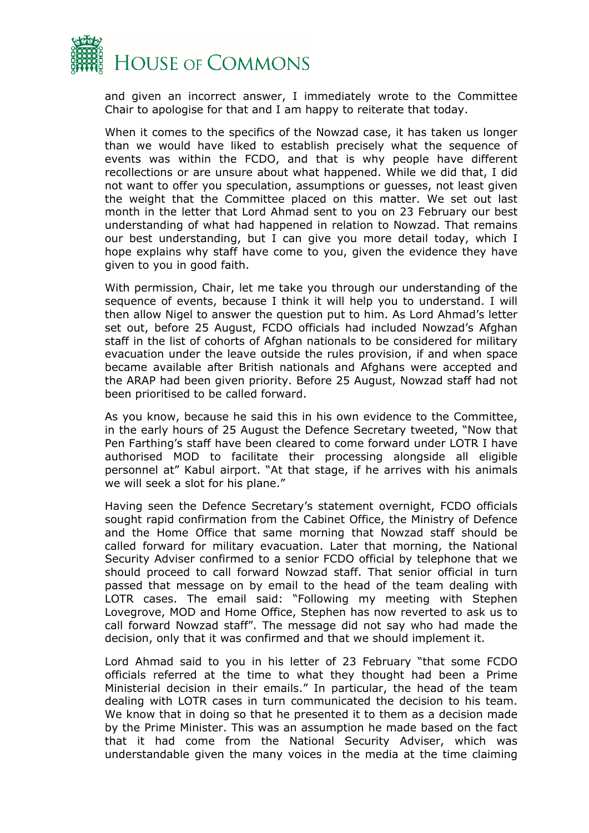

and given an incorrect answer, I immediately wrote to the Committee Chair to apologise for that and I am happy to reiterate that today.

When it comes to the specifics of the Nowzad case, it has taken us longer than we would have liked to establish precisely what the sequence of events was within the FCDO, and that is why people have different recollections or are unsure about what happened. While we did that, I did not want to offer you speculation, assumptions or guesses, not least given the weight that the Committee placed on this matter. We set out last month in the letter that Lord Ahmad sent to you on 23 February our best understanding of what had happened in relation to Nowzad. That remains our best understanding, but I can give you more detail today, which I hope explains why staff have come to you, given the evidence they have given to you in good faith.

With permission, Chair, let me take you through our understanding of the sequence of events, because I think it will help you to understand. I will then allow Nigel to answer the question put to him. As Lord Ahmad's letter set out, before 25 August, FCDO officials had included Nowzad's Afghan staff in the list of cohorts of Afghan nationals to be considered for military evacuation under the leave outside the rules provision, if and when space became available after British nationals and Afghans were accepted and the ARAP had been given priority. Before 25 August, Nowzad staff had not been prioritised to be called forward.

As you know, because he said this in his own evidence to the Committee, in the early hours of 25 August the Defence Secretary tweeted, "Now that Pen Farthing's staff have been cleared to come forward under LOTR I have authorised MOD to facilitate their processing alongside all eligible personnel at" Kabul airport. "At that stage, if he arrives with his animals we will seek a slot for his plane."

Having seen the Defence Secretary's statement overnight, FCDO officials sought rapid confirmation from the Cabinet Office, the Ministry of Defence and the Home Office that same morning that Nowzad staff should be called forward for military evacuation. Later that morning, the National Security Adviser confirmed to a senior FCDO official by telephone that we should proceed to call forward Nowzad staff. That senior official in turn passed that message on by email to the head of the team dealing with LOTR cases. The email said: "Following my meeting with Stephen Lovegrove, MOD and Home Office, Stephen has now reverted to ask us to call forward Nowzad staff". The message did not say who had made the decision, only that it was confirmed and that we should implement it.

Lord Ahmad said to you in his letter of 23 February "that some FCDO officials referred at the time to what they thought had been a Prime Ministerial decision in their emails." In particular, the head of the team dealing with LOTR cases in turn communicated the decision to his team. We know that in doing so that he presented it to them as a decision made by the Prime Minister. This was an assumption he made based on the fact that it had come from the National Security Adviser, which was understandable given the many voices in the media at the time claiming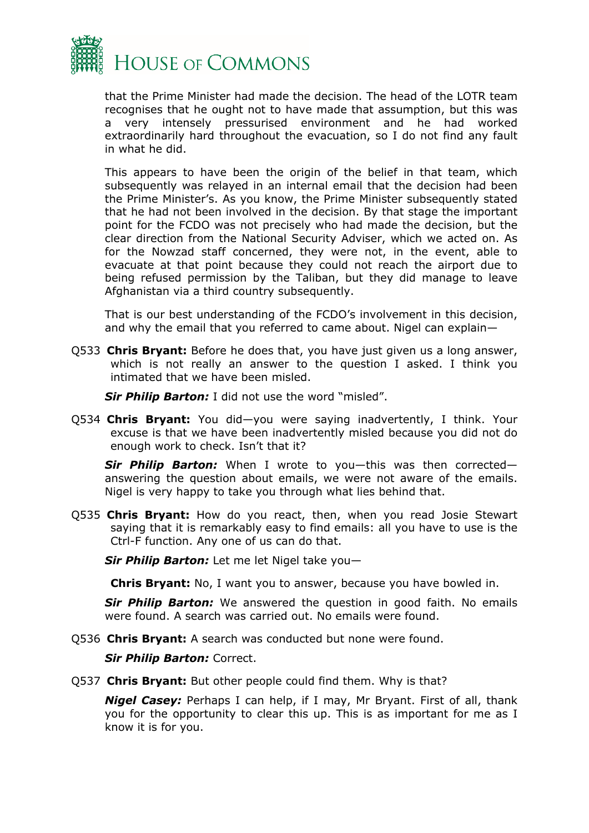

that the Prime Minister had made the decision. The head of the LOTR team recognises that he ought not to have made that assumption, but this was a very intensely pressurised environment and he had worked extraordinarily hard throughout the evacuation, so I do not find any fault in what he did.

This appears to have been the origin of the belief in that team, which subsequently was relayed in an internal email that the decision had been the Prime Minister's. As you know, the Prime Minister subsequently stated that he had not been involved in the decision. By that stage the important point for the FCDO was not precisely who had made the decision, but the clear direction from the National Security Adviser, which we acted on. As for the Nowzad staff concerned, they were not, in the event, able to evacuate at that point because they could not reach the airport due to being refused permission by the Taliban, but they did manage to leave Afghanistan via a third country subsequently.

That is our best understanding of the FCDO's involvement in this decision, and why the email that you referred to came about. Nigel can explain—

Q533 **Chris Bryant:** Before he does that, you have just given us a long answer, which is not really an answer to the question I asked. I think you intimated that we have been misled.

*Sir Philip Barton:* I did not use the word "misled".

Q534 **Chris Bryant:** You did—you were saying inadvertently, I think. Your excuse is that we have been inadvertently misled because you did not do enough work to check. Isn't that it?

*Sir Philip Barton:* When I wrote to you—this was then corrected answering the question about emails, we were not aware of the emails. Nigel is very happy to take you through what lies behind that.

Q535 **Chris Bryant:** How do you react, then, when you read Josie Stewart saying that it is remarkably easy to find emails: all you have to use is the Ctrl-F function. Any one of us can do that.

*Sir Philip Barton:* Let me let Nigel take you—

**Chris Bryant:** No, I want you to answer, because you have bowled in.

*Sir Philip Barton:* We answered the question in good faith. No emails were found. A search was carried out. No emails were found.

Q536 **Chris Bryant:** A search was conducted but none were found.

*Sir Philip Barton:* Correct.

Q537 **Chris Bryant:** But other people could find them. Why is that?

*Nigel Casey:* Perhaps I can help, if I may, Mr Bryant. First of all, thank you for the opportunity to clear this up. This is as important for me as I know it is for you.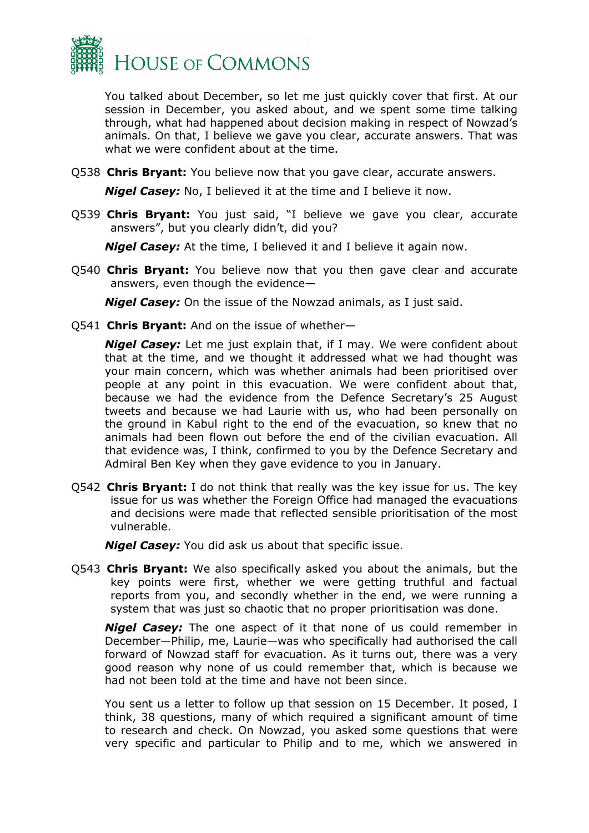

You talked about December, so let me just quickly cover that first. At our session in December, you asked about, and we spent some time talking through, what had happened about decision making in respect of Nowzad's animals. On that, I believe we gave you clear, accurate answers. That was what we were confident about at the time.

Q538 **Chris Bryant:** You believe now that you gave clear, accurate answers.

*Nigel Casey:* No, I believed it at the time and I believe it now.

Q539 **Chris Bryant:** You just said, "I believe we gave you clear, accurate answers", but you clearly didn't, did you?

*Nigel Casey:* At the time, I believed it and I believe it again now.

Q540 **Chris Bryant:** You believe now that you then gave clear and accurate answers, even though the evidence—

*Nigel Casey:* On the issue of the Nowzad animals, as I just said.

Q541 **Chris Bryant:** And on the issue of whether—

*Nigel Casey:* Let me just explain that, if I may. We were confident about that at the time, and we thought it addressed what we had thought was your main concern, which was whether animals had been prioritised over people at any point in this evacuation. We were confident about that, because we had the evidence from the Defence Secretary's 25 August tweets and because we had Laurie with us, who had been personally on the ground in Kabul right to the end of the evacuation, so knew that no animals had been flown out before the end of the civilian evacuation. All that evidence was, I think, confirmed to you by the Defence Secretary and Admiral Ben Key when they gave evidence to you in January.

Q542 **Chris Bryant:** I do not think that really was the key issue for us. The key issue for us was whether the Foreign Office had managed the evacuations and decisions were made that reflected sensible prioritisation of the most vulnerable.

*Nigel Casey:* You did ask us about that specific issue.

Q543 **Chris Bryant:** We also specifically asked you about the animals, but the key points were first, whether we were getting truthful and factual reports from you, and secondly whether in the end, we were running a system that was just so chaotic that no proper prioritisation was done.

*Nigel Casey:* The one aspect of it that none of us could remember in December—Philip, me, Laurie—was who specifically had authorised the call forward of Nowzad staff for evacuation. As it turns out, there was a very good reason why none of us could remember that, which is because we had not been told at the time and have not been since.

You sent us a letter to follow up that session on 15 December. It posed, I think, 38 questions, many of which required a significant amount of time to research and check. On Nowzad, you asked some questions that were very specific and particular to Philip and to me, which we answered in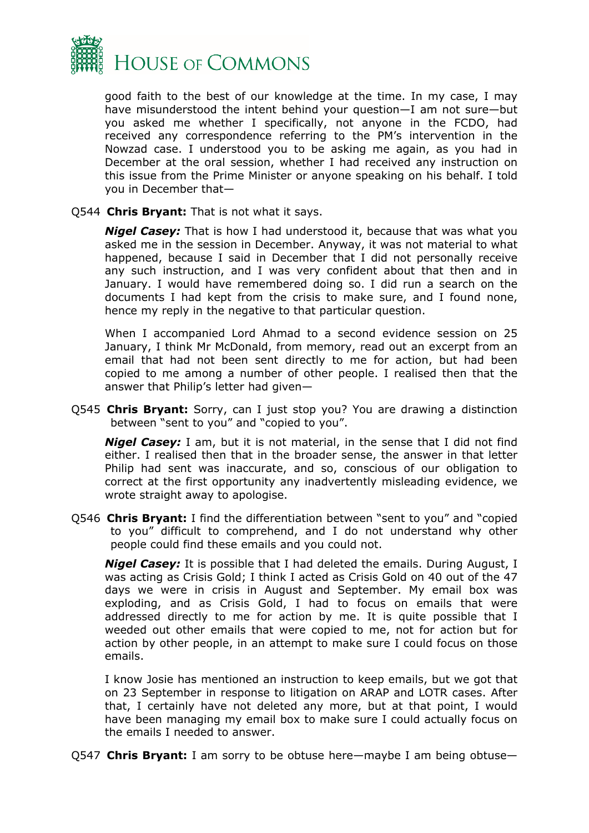

good faith to the best of our knowledge at the time. In my case, I may have misunderstood the intent behind your question—I am not sure—but you asked me whether I specifically, not anyone in the FCDO, had received any correspondence referring to the PM's intervention in the Nowzad case. I understood you to be asking me again, as you had in December at the oral session, whether I had received any instruction on this issue from the Prime Minister or anyone speaking on his behalf. I told you in December that—

## Q544 **Chris Bryant:** That is not what it says.

*Nigel Casey:* That is how I had understood it, because that was what you asked me in the session in December. Anyway, it was not material to what happened, because I said in December that I did not personally receive any such instruction, and I was very confident about that then and in January. I would have remembered doing so. I did run a search on the documents I had kept from the crisis to make sure, and I found none, hence my reply in the negative to that particular question.

When I accompanied Lord Ahmad to a second evidence session on 25 January, I think Mr McDonald, from memory, read out an excerpt from an email that had not been sent directly to me for action, but had been copied to me among a number of other people. I realised then that the answer that Philip's letter had given—

Q545 **Chris Bryant:** Sorry, can I just stop you? You are drawing a distinction between "sent to you" and "copied to you".

*Nigel Casey:* I am, but it is not material, in the sense that I did not find either. I realised then that in the broader sense, the answer in that letter Philip had sent was inaccurate, and so, conscious of our obligation to correct at the first opportunity any inadvertently misleading evidence, we wrote straight away to apologise.

Q546 **Chris Bryant:** I find the differentiation between "sent to you" and "copied to you" difficult to comprehend, and I do not understand why other people could find these emails and you could not.

*Nigel Casey:* It is possible that I had deleted the emails. During August, I was acting as Crisis Gold; I think I acted as Crisis Gold on 40 out of the 47 days we were in crisis in August and September. My email box was exploding, and as Crisis Gold, I had to focus on emails that were addressed directly to me for action by me. It is quite possible that I weeded out other emails that were copied to me, not for action but for action by other people, in an attempt to make sure I could focus on those emails.

I know Josie has mentioned an instruction to keep emails, but we got that on 23 September in response to litigation on ARAP and LOTR cases. After that, I certainly have not deleted any more, but at that point, I would have been managing my email box to make sure I could actually focus on the emails I needed to answer.

Q547 **Chris Bryant:** I am sorry to be obtuse here—maybe I am being obtuse—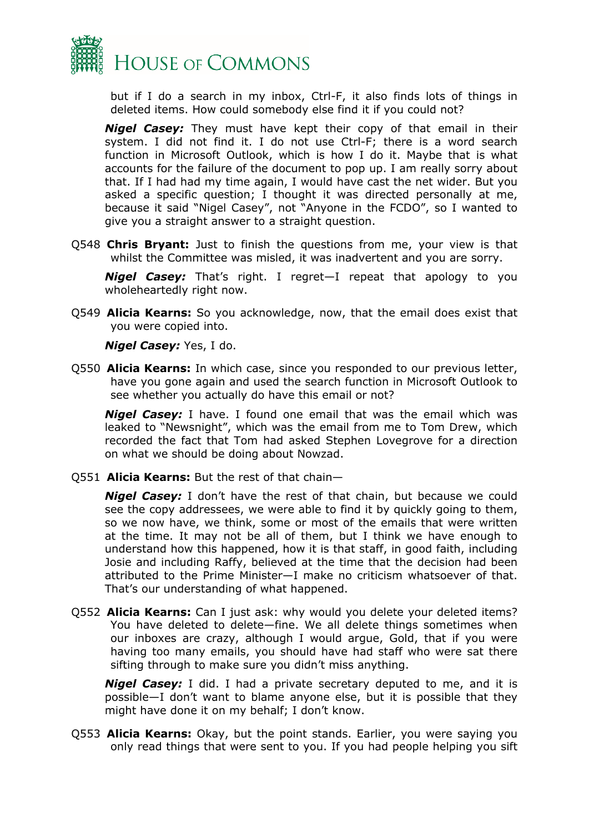

but if I do a search in my inbox, Ctrl-F, it also finds lots of things in deleted items. How could somebody else find it if you could not?

*Nigel Casey:* They must have kept their copy of that email in their system. I did not find it. I do not use Ctrl-F; there is a word search function in Microsoft Outlook, which is how I do it. Maybe that is what accounts for the failure of the document to pop up. I am really sorry about that. If I had had my time again, I would have cast the net wider. But you asked a specific question; I thought it was directed personally at me, because it said "Nigel Casey", not "Anyone in the FCDO", so I wanted to give you a straight answer to a straight question.

Q548 **Chris Bryant:** Just to finish the questions from me, your view is that whilst the Committee was misled, it was inadvertent and you are sorry.

*Nigel Casey:* That's right. I regret—I repeat that apology to you wholeheartedly right now.

Q549 **Alicia Kearns:** So you acknowledge, now, that the email does exist that you were copied into.

*Nigel Casey:* Yes, I do.

Q550 **Alicia Kearns:** In which case, since you responded to our previous letter, have you gone again and used the search function in Microsoft Outlook to see whether you actually do have this email or not?

*Nigel Casey:* I have. I found one email that was the email which was leaked to "Newsnight", which was the email from me to Tom Drew, which recorded the fact that Tom had asked Stephen Lovegrove for a direction on what we should be doing about Nowzad.

Q551 **Alicia Kearns:** But the rest of that chain—

*Nigel Casey:* I don't have the rest of that chain, but because we could see the copy addressees, we were able to find it by quickly going to them, so we now have, we think, some or most of the emails that were written at the time. It may not be all of them, but I think we have enough to understand how this happened, how it is that staff, in good faith, including Josie and including Raffy, believed at the time that the decision had been attributed to the Prime Minister—I make no criticism whatsoever of that. That's our understanding of what happened.

Q552 **Alicia Kearns:** Can I just ask: why would you delete your deleted items? You have deleted to delete—fine. We all delete things sometimes when our inboxes are crazy, although I would argue, Gold, that if you were having too many emails, you should have had staff who were sat there sifting through to make sure you didn't miss anything.

*Nigel Casey:* I did. I had a private secretary deputed to me, and it is possible—I don't want to blame anyone else, but it is possible that they might have done it on my behalf; I don't know.

Q553 **Alicia Kearns:** Okay, but the point stands. Earlier, you were saying you only read things that were sent to you. If you had people helping you sift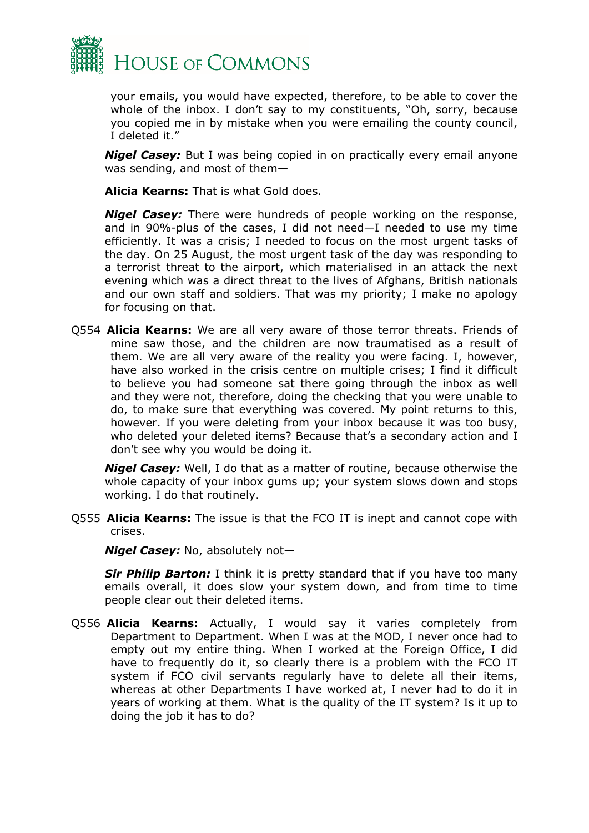

your emails, you would have expected, therefore, to be able to cover the whole of the inbox. I don't say to my constituents, "Oh, sorry, because you copied me in by mistake when you were emailing the county council, I deleted it."

*Nigel Casey:* But I was being copied in on practically every email anyone was sending, and most of them—

**Alicia Kearns:** That is what Gold does.

*Nigel Casey:* There were hundreds of people working on the response, and in 90%-plus of the cases, I did not need—I needed to use my time efficiently. It was a crisis; I needed to focus on the most urgent tasks of the day. On 25 August, the most urgent task of the day was responding to a terrorist threat to the airport, which materialised in an attack the next evening which was a direct threat to the lives of Afghans, British nationals and our own staff and soldiers. That was my priority; I make no apology for focusing on that.

Q554 **Alicia Kearns:** We are all very aware of those terror threats. Friends of mine saw those, and the children are now traumatised as a result of them. We are all very aware of the reality you were facing. I, however, have also worked in the crisis centre on multiple crises; I find it difficult to believe you had someone sat there going through the inbox as well and they were not, therefore, doing the checking that you were unable to do, to make sure that everything was covered. My point returns to this, however. If you were deleting from your inbox because it was too busy, who deleted your deleted items? Because that's a secondary action and I don't see why you would be doing it.

*Nigel Casey:* Well, I do that as a matter of routine, because otherwise the whole capacity of your inbox gums up; your system slows down and stops working. I do that routinely.

Q555 **Alicia Kearns:** The issue is that the FCO IT is inept and cannot cope with crises.

*Nigel Casey:* No, absolutely not—

**Sir Philip Barton:** I think it is pretty standard that if you have too many emails overall, it does slow your system down, and from time to time people clear out their deleted items.

Q556 **Alicia Kearns:** Actually, I would say it varies completely from Department to Department. When I was at the MOD, I never once had to empty out my entire thing. When I worked at the Foreign Office, I did have to frequently do it, so clearly there is a problem with the FCO IT system if FCO civil servants regularly have to delete all their items, whereas at other Departments I have worked at, I never had to do it in years of working at them. What is the quality of the IT system? Is it up to doing the job it has to do?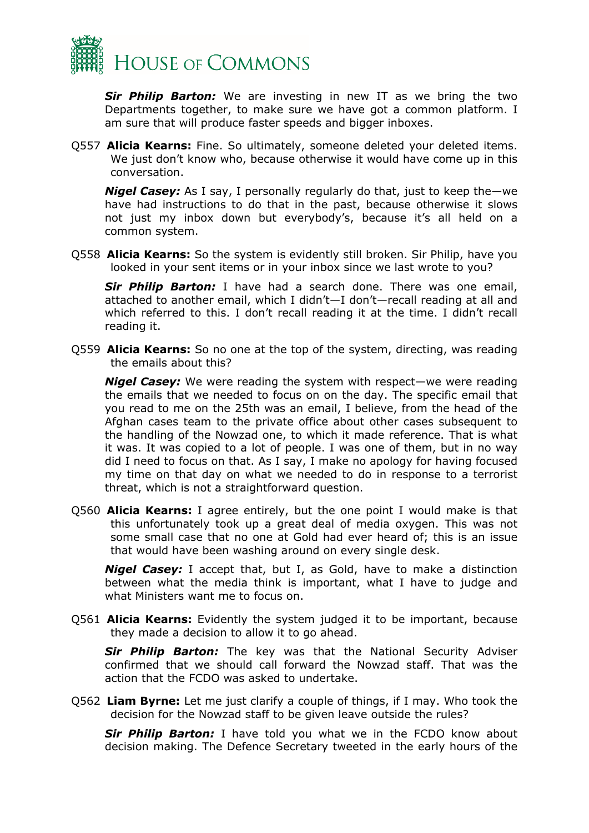

*Sir Philip Barton:* We are investing in new IT as we bring the two Departments together, to make sure we have got a common platform. I am sure that will produce faster speeds and bigger inboxes.

Q557 **Alicia Kearns:** Fine. So ultimately, someone deleted your deleted items. We just don't know who, because otherwise it would have come up in this conversation.

*Nigel Casey:* As I say, I personally regularly do that, just to keep the—we have had instructions to do that in the past, because otherwise it slows not just my inbox down but everybody's, because it's all held on a common system.

Q558 **Alicia Kearns:** So the system is evidently still broken. Sir Philip, have you looked in your sent items or in your inbox since we last wrote to you?

*Sir Philip Barton:* I have had a search done. There was one email, attached to another email, which I didn't—I don't—recall reading at all and which referred to this. I don't recall reading it at the time. I didn't recall reading it.

Q559 **Alicia Kearns:** So no one at the top of the system, directing, was reading the emails about this?

*Nigel Casey:* We were reading the system with respect—we were reading the emails that we needed to focus on on the day. The specific email that you read to me on the 25th was an email, I believe, from the head of the Afghan cases team to the private office about other cases subsequent to the handling of the Nowzad one, to which it made reference. That is what it was. It was copied to a lot of people. I was one of them, but in no way did I need to focus on that. As I say, I make no apology for having focused my time on that day on what we needed to do in response to a terrorist threat, which is not a straightforward question.

Q560 **Alicia Kearns:** I agree entirely, but the one point I would make is that this unfortunately took up a great deal of media oxygen. This was not some small case that no one at Gold had ever heard of; this is an issue that would have been washing around on every single desk.

*Nigel Casey:* I accept that, but I, as Gold, have to make a distinction between what the media think is important, what I have to judge and what Ministers want me to focus on.

Q561 **Alicia Kearns:** Evidently the system judged it to be important, because they made a decision to allow it to go ahead.

*Sir Philip Barton:* The key was that the National Security Adviser confirmed that we should call forward the Nowzad staff. That was the action that the FCDO was asked to undertake.

Q562 **Liam Byrne:** Let me just clarify a couple of things, if I may. Who took the decision for the Nowzad staff to be given leave outside the rules?

**Sir Philip Barton:** I have told you what we in the FCDO know about decision making. The Defence Secretary tweeted in the early hours of the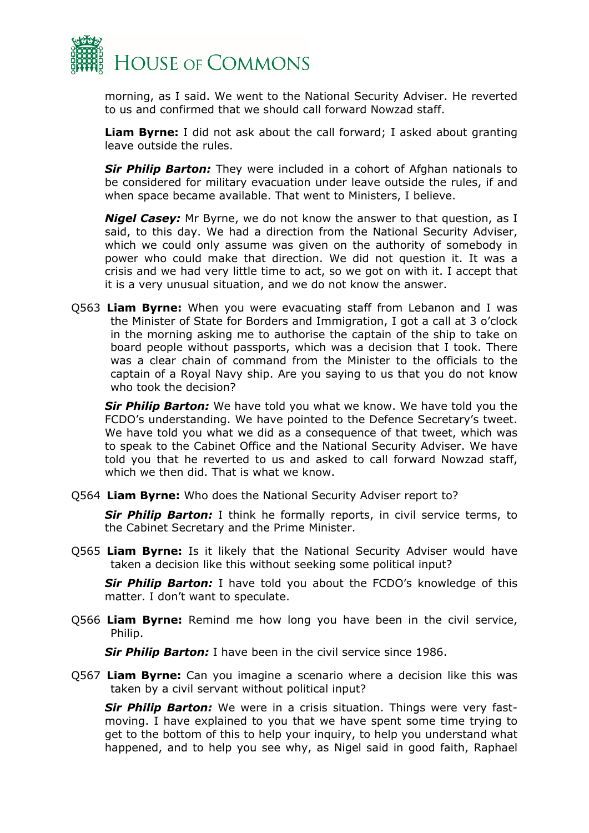

morning, as I said. We went to the National Security Adviser. He reverted to us and confirmed that we should call forward Nowzad staff.

**Liam Byrne:** I did not ask about the call forward; I asked about granting leave outside the rules.

*Sir Philip Barton:* They were included in a cohort of Afghan nationals to be considered for military evacuation under leave outside the rules, if and when space became available. That went to Ministers, I believe.

*Nigel Casey:* Mr Byrne, we do not know the answer to that question, as I said, to this day. We had a direction from the National Security Adviser, which we could only assume was given on the authority of somebody in power who could make that direction. We did not question it. It was a crisis and we had very little time to act, so we got on with it. I accept that it is a very unusual situation, and we do not know the answer.

Q563 **Liam Byrne:** When you were evacuating staff from Lebanon and I was the Minister of State for Borders and Immigration, I got a call at 3 o'clock in the morning asking me to authorise the captain of the ship to take on board people without passports, which was a decision that I took. There was a clear chain of command from the Minister to the officials to the captain of a Royal Navy ship. Are you saying to us that you do not know who took the decision?

*Sir Philip Barton:* We have told you what we know. We have told you the FCDO's understanding. We have pointed to the Defence Secretary's tweet. We have told you what we did as a consequence of that tweet, which was to speak to the Cabinet Office and the National Security Adviser. We have told you that he reverted to us and asked to call forward Nowzad staff, which we then did. That is what we know.

Q564 **Liam Byrne:** Who does the National Security Adviser report to?

**Sir Philip Barton:** I think he formally reports, in civil service terms, to the Cabinet Secretary and the Prime Minister.

Q565 **Liam Byrne:** Is it likely that the National Security Adviser would have taken a decision like this without seeking some political input?

**Sir Philip Barton:** I have told you about the FCDO's knowledge of this matter. I don't want to speculate.

Q566 **Liam Byrne:** Remind me how long you have been in the civil service, Philip.

**Sir Philip Barton:** I have been in the civil service since 1986.

Q567 **Liam Byrne:** Can you imagine a scenario where a decision like this was taken by a civil servant without political input?

*Sir Philip Barton:* We were in a crisis situation. Things were very fastmoving. I have explained to you that we have spent some time trying to get to the bottom of this to help your inquiry, to help you understand what happened, and to help you see why, as Nigel said in good faith, Raphael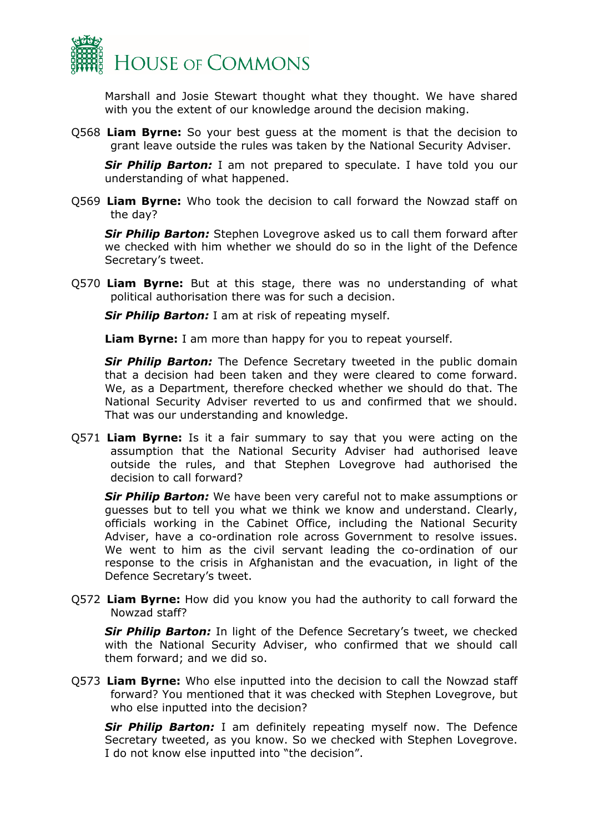

Marshall and Josie Stewart thought what they thought. We have shared with you the extent of our knowledge around the decision making.

Q568 **Liam Byrne:** So your best guess at the moment is that the decision to grant leave outside the rules was taken by the National Security Adviser.

**Sir Philip Barton:** I am not prepared to speculate. I have told you our understanding of what happened.

Q569 **Liam Byrne:** Who took the decision to call forward the Nowzad staff on the day?

*Sir Philip Barton:* Stephen Lovegrove asked us to call them forward after we checked with him whether we should do so in the light of the Defence Secretary's tweet.

Q570 **Liam Byrne:** But at this stage, there was no understanding of what political authorisation there was for such a decision.

*Sir Philip Barton:* I am at risk of repeating myself.

**Liam Byrne:** I am more than happy for you to repeat yourself.

**Sir Philip Barton:** The Defence Secretary tweeted in the public domain that a decision had been taken and they were cleared to come forward. We, as a Department, therefore checked whether we should do that. The National Security Adviser reverted to us and confirmed that we should. That was our understanding and knowledge.

Q571 **Liam Byrne:** Is it a fair summary to say that you were acting on the assumption that the National Security Adviser had authorised leave outside the rules, and that Stephen Lovegrove had authorised the decision to call forward?

*Sir Philip Barton:* We have been very careful not to make assumptions or guesses but to tell you what we think we know and understand. Clearly, officials working in the Cabinet Office, including the National Security Adviser, have a co-ordination role across Government to resolve issues. We went to him as the civil servant leading the co-ordination of our response to the crisis in Afghanistan and the evacuation, in light of the Defence Secretary's tweet.

Q572 **Liam Byrne:** How did you know you had the authority to call forward the Nowzad staff?

**Sir Philip Barton:** In light of the Defence Secretary's tweet, we checked with the National Security Adviser, who confirmed that we should call them forward; and we did so.

Q573 **Liam Byrne:** Who else inputted into the decision to call the Nowzad staff forward? You mentioned that it was checked with Stephen Lovegrove, but who else inputted into the decision?

**Sir Philip Barton:** I am definitely repeating myself now. The Defence Secretary tweeted, as you know. So we checked with Stephen Lovegrove. I do not know else inputted into "the decision".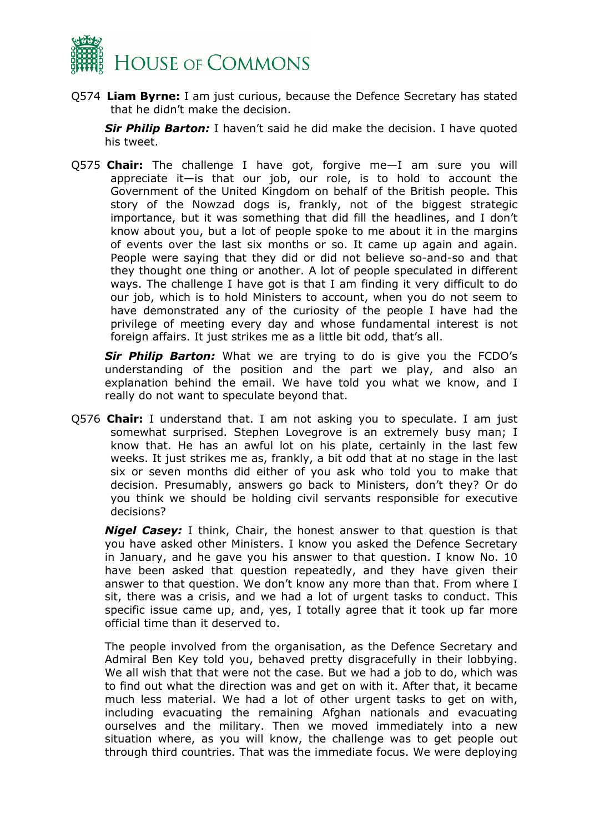

Q574 **Liam Byrne:** I am just curious, because the Defence Secretary has stated that he didn't make the decision.

**Sir Philip Barton:** I haven't said he did make the decision. I have quoted his tweet.

Q575 **Chair:** The challenge I have got, forgive me—I am sure you will appreciate it—is that our job, our role, is to hold to account the Government of the United Kingdom on behalf of the British people. This story of the Nowzad dogs is, frankly, not of the biggest strategic importance, but it was something that did fill the headlines, and I don't know about you, but a lot of people spoke to me about it in the margins of events over the last six months or so. It came up again and again. People were saying that they did or did not believe so-and-so and that they thought one thing or another. A lot of people speculated in different ways. The challenge I have got is that I am finding it very difficult to do our job, which is to hold Ministers to account, when you do not seem to have demonstrated any of the curiosity of the people I have had the privilege of meeting every day and whose fundamental interest is not foreign affairs. It just strikes me as a little bit odd, that's all.

*Sir Philip Barton:* What we are trying to do is give you the FCDO's understanding of the position and the part we play, and also an explanation behind the email. We have told you what we know, and I really do not want to speculate beyond that.

Q576 **Chair:** I understand that. I am not asking you to speculate. I am just somewhat surprised. Stephen Lovegrove is an extremely busy man; I know that. He has an awful lot on his plate, certainly in the last few weeks. It just strikes me as, frankly, a bit odd that at no stage in the last six or seven months did either of you ask who told you to make that decision. Presumably, answers go back to Ministers, don't they? Or do you think we should be holding civil servants responsible for executive decisions?

*Nigel Casey:* I think, Chair, the honest answer to that question is that you have asked other Ministers. I know you asked the Defence Secretary in January, and he gave you his answer to that question. I know No. 10 have been asked that question repeatedly, and they have given their answer to that question. We don't know any more than that. From where I sit, there was a crisis, and we had a lot of urgent tasks to conduct. This specific issue came up, and, yes, I totally agree that it took up far more official time than it deserved to.

The people involved from the organisation, as the Defence Secretary and Admiral Ben Key told you, behaved pretty disgracefully in their lobbying. We all wish that that were not the case. But we had a job to do, which was to find out what the direction was and get on with it. After that, it became much less material. We had a lot of other urgent tasks to get on with, including evacuating the remaining Afghan nationals and evacuating ourselves and the military. Then we moved immediately into a new situation where, as you will know, the challenge was to get people out through third countries. That was the immediate focus. We were deploying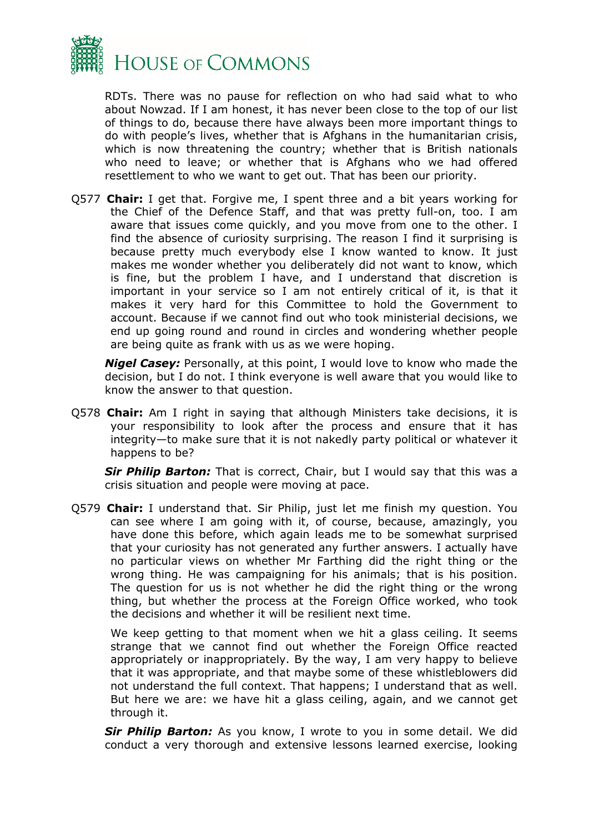

RDTs. There was no pause for reflection on who had said what to who about Nowzad. If I am honest, it has never been close to the top of our list of things to do, because there have always been more important things to do with people's lives, whether that is Afghans in the humanitarian crisis, which is now threatening the country; whether that is British nationals who need to leave; or whether that is Afghans who we had offered resettlement to who we want to get out. That has been our priority.

Q577 **Chair:** I get that. Forgive me, I spent three and a bit years working for the Chief of the Defence Staff, and that was pretty full-on, too. I am aware that issues come quickly, and you move from one to the other. I find the absence of curiosity surprising. The reason I find it surprising is because pretty much everybody else I know wanted to know. It just makes me wonder whether you deliberately did not want to know, which is fine, but the problem I have, and I understand that discretion is important in your service so I am not entirely critical of it, is that it makes it very hard for this Committee to hold the Government to account. Because if we cannot find out who took ministerial decisions, we end up going round and round in circles and wondering whether people are being quite as frank with us as we were hoping.

*Nigel Casey:* Personally, at this point, I would love to know who made the decision, but I do not. I think everyone is well aware that you would like to know the answer to that question.

Q578 **Chair:** Am I right in saying that although Ministers take decisions, it is your responsibility to look after the process and ensure that it has integrity—to make sure that it is not nakedly party political or whatever it happens to be?

*Sir Philip Barton:* That is correct, Chair, but I would say that this was a crisis situation and people were moving at pace.

Q579 **Chair:** I understand that. Sir Philip, just let me finish my question. You can see where I am going with it, of course, because, amazingly, you have done this before, which again leads me to be somewhat surprised that your curiosity has not generated any further answers. I actually have no particular views on whether Mr Farthing did the right thing or the wrong thing. He was campaigning for his animals; that is his position. The question for us is not whether he did the right thing or the wrong thing, but whether the process at the Foreign Office worked, who took the decisions and whether it will be resilient next time.

We keep getting to that moment when we hit a glass ceiling. It seems strange that we cannot find out whether the Foreign Office reacted appropriately or inappropriately. By the way, I am very happy to believe that it was appropriate, and that maybe some of these whistleblowers did not understand the full context. That happens; I understand that as well. But here we are: we have hit a glass ceiling, again, and we cannot get through it.

*Sir Philip Barton:* As you know, I wrote to you in some detail. We did conduct a very thorough and extensive lessons learned exercise, looking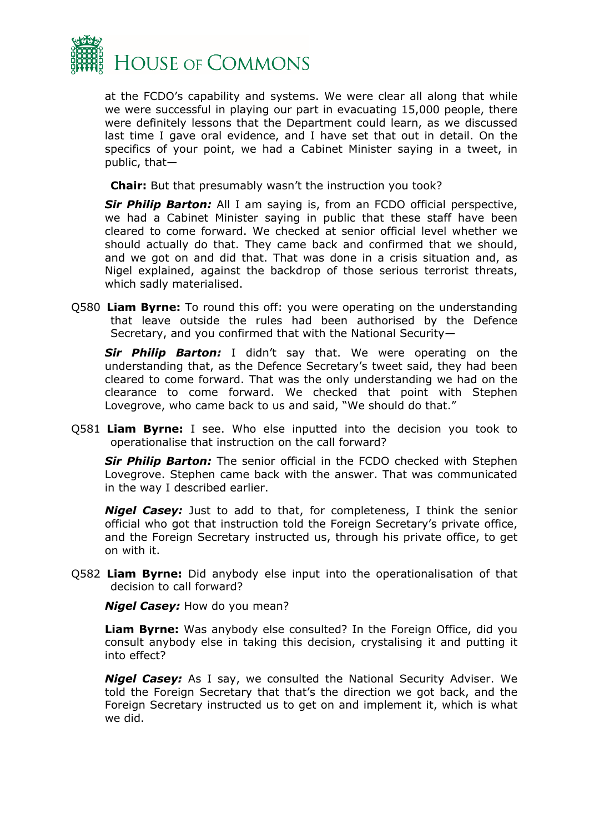

at the FCDO's capability and systems. We were clear all along that while we were successful in playing our part in evacuating 15,000 people, there were definitely lessons that the Department could learn, as we discussed last time I gave oral evidence, and I have set that out in detail. On the specifics of your point, we had a Cabinet Minister saying in a tweet, in public, that—

**Chair:** But that presumably wasn't the instruction you took?

*Sir Philip Barton:* All I am saying is, from an FCDO official perspective, we had a Cabinet Minister saying in public that these staff have been cleared to come forward. We checked at senior official level whether we should actually do that. They came back and confirmed that we should, and we got on and did that. That was done in a crisis situation and, as Nigel explained, against the backdrop of those serious terrorist threats, which sadly materialised.

Q580 **Liam Byrne:** To round this off: you were operating on the understanding that leave outside the rules had been authorised by the Defence Secretary, and you confirmed that with the National Security—

*Sir Philip Barton:* I didn't say that. We were operating on the understanding that, as the Defence Secretary's tweet said, they had been cleared to come forward. That was the only understanding we had on the clearance to come forward. We checked that point with Stephen Lovegrove, who came back to us and said, "We should do that."

Q581 **Liam Byrne:** I see. Who else inputted into the decision you took to operationalise that instruction on the call forward?

*Sir Philip Barton:* The senior official in the FCDO checked with Stephen Lovegrove. Stephen came back with the answer. That was communicated in the way I described earlier.

*Nigel Casey:* Just to add to that, for completeness, I think the senior official who got that instruction told the Foreign Secretary's private office, and the Foreign Secretary instructed us, through his private office, to get on with it.

Q582 **Liam Byrne:** Did anybody else input into the operationalisation of that decision to call forward?

*Nigel Casey:* How do you mean?

**Liam Byrne:** Was anybody else consulted? In the Foreign Office, did you consult anybody else in taking this decision, crystalising it and putting it into effect?

*Nigel Casey:* As I say, we consulted the National Security Adviser. We told the Foreign Secretary that that's the direction we got back, and the Foreign Secretary instructed us to get on and implement it, which is what we did.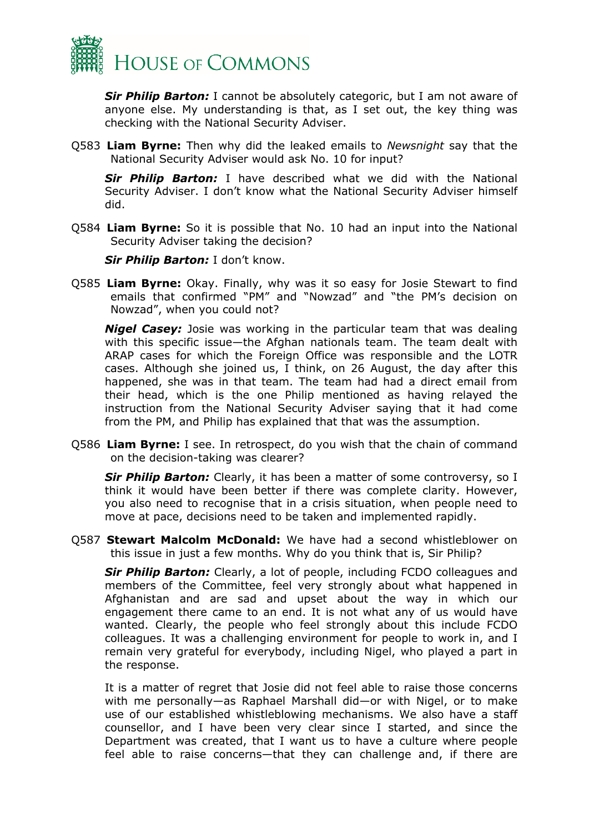

*Sir Philip Barton:* I cannot be absolutely categoric, but I am not aware of anyone else. My understanding is that, as I set out, the key thing was checking with the National Security Adviser.

Q583 **Liam Byrne:** Then why did the leaked emails to *Newsnight* say that the National Security Adviser would ask No. 10 for input?

*Sir Philip Barton:* I have described what we did with the National Security Adviser. I don't know what the National Security Adviser himself did.

Q584 **Liam Byrne:** So it is possible that No. 10 had an input into the National Security Adviser taking the decision?

*Sir Philip Barton:* I don't know.

Q585 **Liam Byrne:** Okay. Finally, why was it so easy for Josie Stewart to find emails that confirmed "PM" and "Nowzad" and "the PM's decision on Nowzad", when you could not?

*Nigel Casey:* Josie was working in the particular team that was dealing with this specific issue—the Afghan nationals team. The team dealt with ARAP cases for which the Foreign Office was responsible and the LOTR cases. Although she joined us, I think, on 26 August, the day after this happened, she was in that team. The team had had a direct email from their head, which is the one Philip mentioned as having relayed the instruction from the National Security Adviser saying that it had come from the PM, and Philip has explained that that was the assumption.

Q586 **Liam Byrne:** I see. In retrospect, do you wish that the chain of command on the decision-taking was clearer?

**Sir Philip Barton:** Clearly, it has been a matter of some controversy, so I think it would have been better if there was complete clarity. However, you also need to recognise that in a crisis situation, when people need to move at pace, decisions need to be taken and implemented rapidly.

Q587 **Stewart Malcolm McDonald:** We have had a second whistleblower on this issue in just a few months. Why do you think that is, Sir Philip?

**Sir Philip Barton:** Clearly, a lot of people, including FCDO colleagues and members of the Committee, feel very strongly about what happened in Afghanistan and are sad and upset about the way in which our engagement there came to an end. It is not what any of us would have wanted. Clearly, the people who feel strongly about this include FCDO colleagues. It was a challenging environment for people to work in, and I remain very grateful for everybody, including Nigel, who played a part in the response.

It is a matter of regret that Josie did not feel able to raise those concerns with me personally—as Raphael Marshall did—or with Nigel, or to make use of our established whistleblowing mechanisms. We also have a staff counsellor, and I have been very clear since I started, and since the Department was created, that I want us to have a culture where people feel able to raise concerns—that they can challenge and, if there are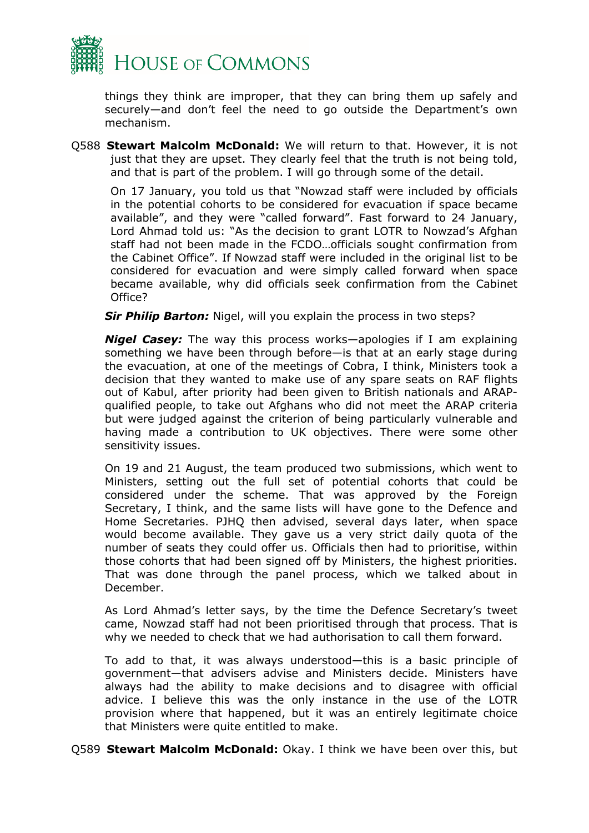

things they think are improper, that they can bring them up safely and securely—and don't feel the need to go outside the Department's own mechanism.

Q588 **Stewart Malcolm McDonald:** We will return to that. However, it is not just that they are upset. They clearly feel that the truth is not being told, and that is part of the problem. I will go through some of the detail.

On 17 January, you told us that "Nowzad staff were included by officials in the potential cohorts to be considered for evacuation if space became available", and they were "called forward". Fast forward to 24 January, Lord Ahmad told us: "As the decision to grant LOTR to Nowzad's Afghan staff had not been made in the FCDO…officials sought confirmation from the Cabinet Office". If Nowzad staff were included in the original list to be considered for evacuation and were simply called forward when space became available, why did officials seek confirmation from the Cabinet Office?

*Sir Philip Barton:* Nigel, will you explain the process in two steps?

*Nigel Casey:* The way this process works—apologies if I am explaining something we have been through before—is that at an early stage during the evacuation, at one of the meetings of Cobra, I think, Ministers took a decision that they wanted to make use of any spare seats on RAF flights out of Kabul, after priority had been given to British nationals and ARAPqualified people, to take out Afghans who did not meet the ARAP criteria but were judged against the criterion of being particularly vulnerable and having made a contribution to UK objectives. There were some other sensitivity issues.

On 19 and 21 August, the team produced two submissions, which went to Ministers, setting out the full set of potential cohorts that could be considered under the scheme. That was approved by the Foreign Secretary, I think, and the same lists will have gone to the Defence and Home Secretaries. PJHQ then advised, several days later, when space would become available. They gave us a very strict daily quota of the number of seats they could offer us. Officials then had to prioritise, within those cohorts that had been signed off by Ministers, the highest priorities. That was done through the panel process, which we talked about in December.

As Lord Ahmad's letter says, by the time the Defence Secretary's tweet came, Nowzad staff had not been prioritised through that process. That is why we needed to check that we had authorisation to call them forward.

To add to that, it was always understood—this is a basic principle of government—that advisers advise and Ministers decide. Ministers have always had the ability to make decisions and to disagree with official advice. I believe this was the only instance in the use of the LOTR provision where that happened, but it was an entirely legitimate choice that Ministers were quite entitled to make.

Q589 **Stewart Malcolm McDonald:** Okay. I think we have been over this, but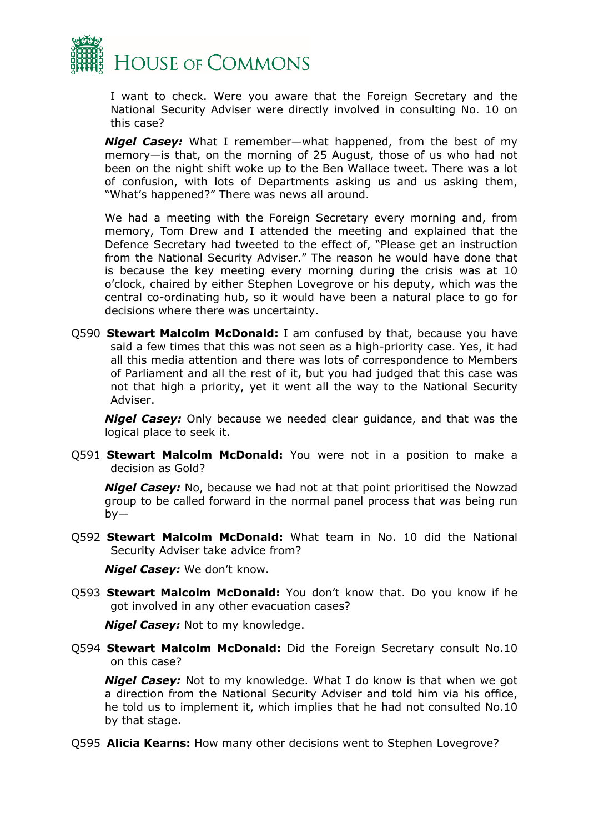

I want to check. Were you aware that the Foreign Secretary and the National Security Adviser were directly involved in consulting No. 10 on this case?

*Nigel Casey:* What I remember—what happened, from the best of my memory—is that, on the morning of 25 August, those of us who had not been on the night shift woke up to the Ben Wallace tweet. There was a lot of confusion, with lots of Departments asking us and us asking them, "What's happened?" There was news all around.

We had a meeting with the Foreign Secretary every morning and, from memory, Tom Drew and I attended the meeting and explained that the Defence Secretary had tweeted to the effect of, "Please get an instruction from the National Security Adviser." The reason he would have done that is because the key meeting every morning during the crisis was at 10 o'clock, chaired by either Stephen Lovegrove or his deputy, which was the central co-ordinating hub, so it would have been a natural place to go for decisions where there was uncertainty.

Q590 **Stewart Malcolm McDonald:** I am confused by that, because you have said a few times that this was not seen as a high-priority case. Yes, it had all this media attention and there was lots of correspondence to Members of Parliament and all the rest of it, but you had judged that this case was not that high a priority, yet it went all the way to the National Security Adviser.

*Nigel Casey:* Only because we needed clear guidance, and that was the logical place to seek it.

Q591 **Stewart Malcolm McDonald:** You were not in a position to make a decision as Gold?

*Nigel Casey:* No, because we had not at that point prioritised the Nowzad group to be called forward in the normal panel process that was being run  $by-$ 

Q592 **Stewart Malcolm McDonald:** What team in No. 10 did the National Security Adviser take advice from?

*Nigel Casey:* We don't know.

Q593 **Stewart Malcolm McDonald:** You don't know that. Do you know if he got involved in any other evacuation cases?

*Nigel Casey:* Not to my knowledge.

Q594 **Stewart Malcolm McDonald:** Did the Foreign Secretary consult No.10 on this case?

*Nigel Casey:* Not to my knowledge. What I do know is that when we got a direction from the National Security Adviser and told him via his office, he told us to implement it, which implies that he had not consulted No.10 by that stage.

Q595 **Alicia Kearns:** How many other decisions went to Stephen Lovegrove?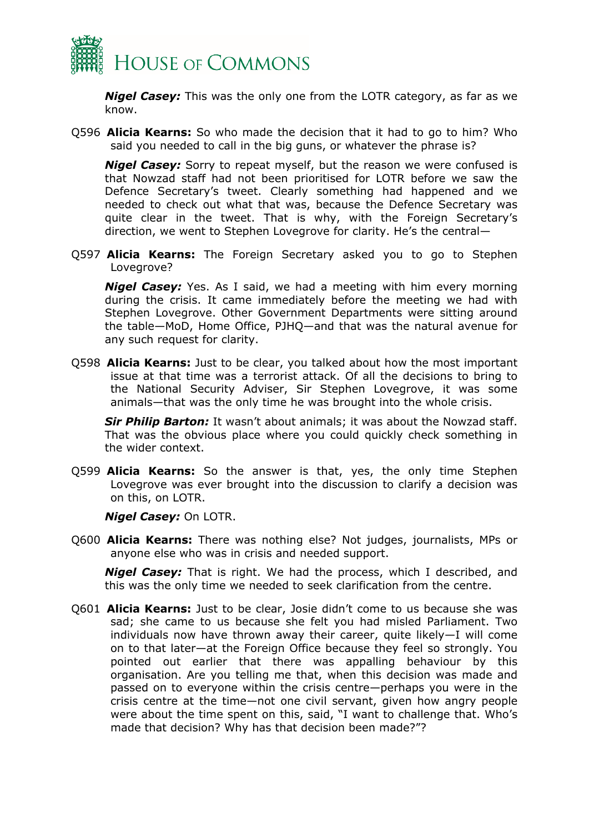

*Nigel Casey:* This was the only one from the LOTR category, as far as we know.

Q596 **Alicia Kearns:** So who made the decision that it had to go to him? Who said you needed to call in the big guns, or whatever the phrase is?

*Nigel Casey:* Sorry to repeat myself, but the reason we were confused is that Nowzad staff had not been prioritised for LOTR before we saw the Defence Secretary's tweet. Clearly something had happened and we needed to check out what that was, because the Defence Secretary was quite clear in the tweet. That is why, with the Foreign Secretary's direction, we went to Stephen Lovegrove for clarity. He's the central—

Q597 **Alicia Kearns:** The Foreign Secretary asked you to go to Stephen Lovegrove?

*Nigel Casey:* Yes. As I said, we had a meeting with him every morning during the crisis. It came immediately before the meeting we had with Stephen Lovegrove. Other Government Departments were sitting around the table—MoD, Home Office, PJHQ—and that was the natural avenue for any such request for clarity.

Q598 **Alicia Kearns:** Just to be clear, you talked about how the most important issue at that time was a terrorist attack. Of all the decisions to bring to the National Security Adviser, Sir Stephen Lovegrove, it was some animals—that was the only time he was brought into the whole crisis.

*Sir Philip Barton:* It wasn't about animals; it was about the Nowzad staff. That was the obvious place where you could quickly check something in the wider context.

Q599 **Alicia Kearns:** So the answer is that, yes, the only time Stephen Lovegrove was ever brought into the discussion to clarify a decision was on this, on LOTR.

*Nigel Casey:* On LOTR.

Q600 **Alicia Kearns:** There was nothing else? Not judges, journalists, MPs or anyone else who was in crisis and needed support.

*Nigel Casey:* That is right. We had the process, which I described, and this was the only time we needed to seek clarification from the centre.

Q601 **Alicia Kearns:** Just to be clear, Josie didn't come to us because she was sad; she came to us because she felt you had misled Parliament. Two individuals now have thrown away their career, quite likely—I will come on to that later—at the Foreign Office because they feel so strongly. You pointed out earlier that there was appalling behaviour by this organisation. Are you telling me that, when this decision was made and passed on to everyone within the crisis centre—perhaps you were in the crisis centre at the time—not one civil servant, given how angry people were about the time spent on this, said, "I want to challenge that. Who's made that decision? Why has that decision been made?"?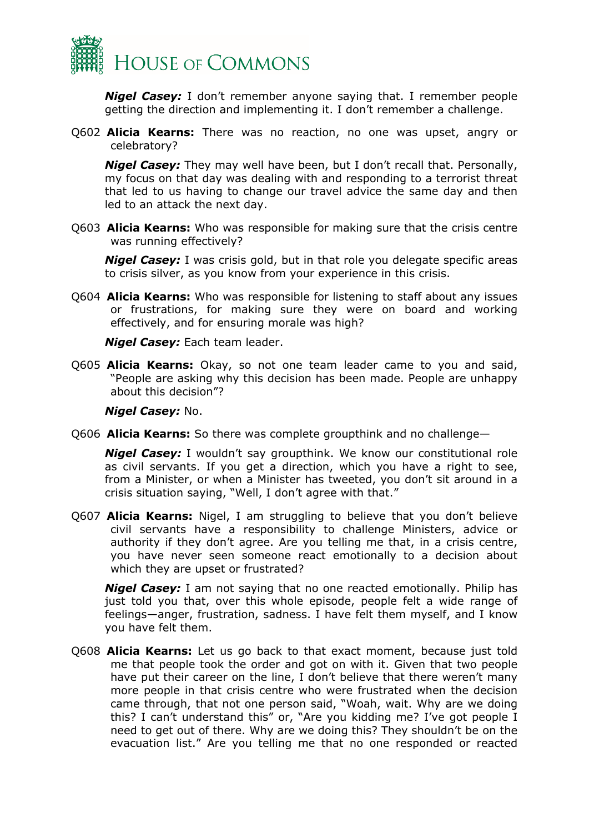

*Nigel Casey:* I don't remember anyone saying that. I remember people getting the direction and implementing it. I don't remember a challenge.

Q602 **Alicia Kearns:** There was no reaction, no one was upset, angry or celebratory?

*Nigel Casey:* They may well have been, but I don't recall that. Personally, my focus on that day was dealing with and responding to a terrorist threat that led to us having to change our travel advice the same day and then led to an attack the next day.

Q603 **Alicia Kearns:** Who was responsible for making sure that the crisis centre was running effectively?

*Nigel Casey:* I was crisis gold, but in that role you delegate specific areas to crisis silver, as you know from your experience in this crisis.

Q604 **Alicia Kearns:** Who was responsible for listening to staff about any issues or frustrations, for making sure they were on board and working effectively, and for ensuring morale was high?

*Nigel Casey:* Each team leader.

Q605 **Alicia Kearns:** Okay, so not one team leader came to you and said, "People are asking why this decision has been made. People are unhappy about this decision"?

#### *Nigel Casey:* No.

Q606 **Alicia Kearns:** So there was complete groupthink and no challenge—

*Nigel Casey:* I wouldn't say groupthink. We know our constitutional role as civil servants. If you get a direction, which you have a right to see, from a Minister, or when a Minister has tweeted, you don't sit around in a crisis situation saying, "Well, I don't agree with that."

Q607 **Alicia Kearns:** Nigel, I am struggling to believe that you don't believe civil servants have a responsibility to challenge Ministers, advice or authority if they don't agree. Are you telling me that, in a crisis centre, you have never seen someone react emotionally to a decision about which they are upset or frustrated?

*Nigel Casey:* I am not saying that no one reacted emotionally. Philip has just told you that, over this whole episode, people felt a wide range of feelings—anger, frustration, sadness. I have felt them myself, and I know you have felt them.

Q608 **Alicia Kearns:** Let us go back to that exact moment, because just told me that people took the order and got on with it. Given that two people have put their career on the line, I don't believe that there weren't many more people in that crisis centre who were frustrated when the decision came through, that not one person said, "Woah, wait. Why are we doing this? I can't understand this" or, "Are you kidding me? I've got people I need to get out of there. Why are we doing this? They shouldn't be on the evacuation list." Are you telling me that no one responded or reacted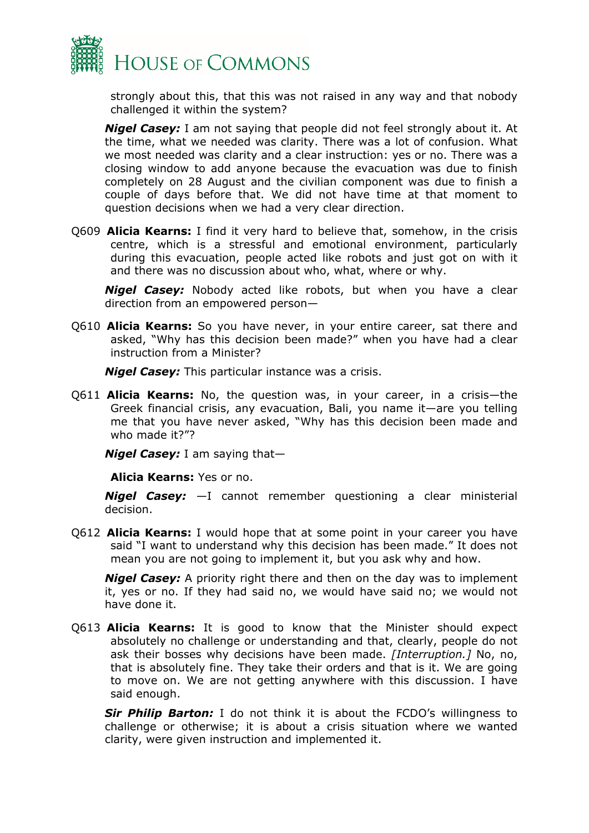

strongly about this, that this was not raised in any way and that nobody challenged it within the system?

*Nigel Casey:* I am not saying that people did not feel strongly about it. At the time, what we needed was clarity. There was a lot of confusion. What we most needed was clarity and a clear instruction: yes or no. There was a closing window to add anyone because the evacuation was due to finish completely on 28 August and the civilian component was due to finish a couple of days before that. We did not have time at that moment to question decisions when we had a very clear direction.

Q609 **Alicia Kearns:** I find it very hard to believe that, somehow, in the crisis centre, which is a stressful and emotional environment, particularly during this evacuation, people acted like robots and just got on with it and there was no discussion about who, what, where or why.

*Nigel Casey:* Nobody acted like robots, but when you have a clear direction from an empowered person—

Q610 **Alicia Kearns:** So you have never, in your entire career, sat there and asked, "Why has this decision been made?" when you have had a clear instruction from a Minister?

*Nigel Casey:* This particular instance was a crisis.

Q611 **Alicia Kearns:** No, the question was, in your career, in a crisis—the Greek financial crisis, any evacuation, Bali, you name it—are you telling me that you have never asked, "Why has this decision been made and who made it?"?

*Nigel Casey:* I am saying that—

**Alicia Kearns:** Yes or no.

*Nigel Casey:* —I cannot remember questioning a clear ministerial decision.

Q612 **Alicia Kearns:** I would hope that at some point in your career you have said "I want to understand why this decision has been made." It does not mean you are not going to implement it, but you ask why and how.

*Nigel Casey:* A priority right there and then on the day was to implement it, yes or no. If they had said no, we would have said no; we would not have done it.

Q613 **Alicia Kearns:** It is good to know that the Minister should expect absolutely no challenge or understanding and that, clearly, people do not ask their bosses why decisions have been made. *[Interruption.]* No, no, that is absolutely fine. They take their orders and that is it. We are going to move on. We are not getting anywhere with this discussion. I have said enough.

**Sir Philip Barton:** I do not think it is about the FCDO's willingness to challenge or otherwise; it is about a crisis situation where we wanted clarity, were given instruction and implemented it.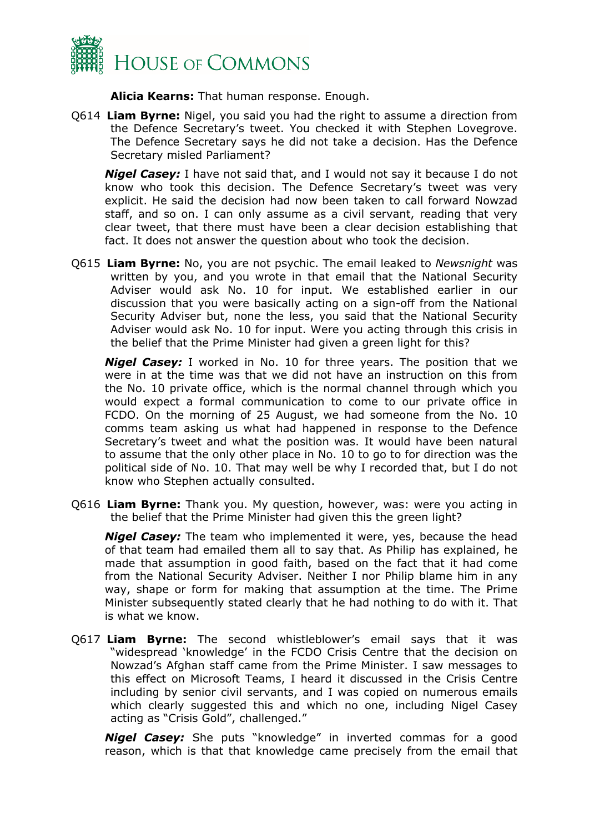

**Alicia Kearns:** That human response. Enough.

Q614 **Liam Byrne:** Nigel, you said you had the right to assume a direction from the Defence Secretary's tweet. You checked it with Stephen Lovegrove. The Defence Secretary says he did not take a decision. Has the Defence Secretary misled Parliament?

*Nigel Casey:* I have not said that, and I would not say it because I do not know who took this decision. The Defence Secretary's tweet was very explicit. He said the decision had now been taken to call forward Nowzad staff, and so on. I can only assume as a civil servant, reading that very clear tweet, that there must have been a clear decision establishing that fact. It does not answer the question about who took the decision.

Q615 **Liam Byrne:** No, you are not psychic. The email leaked to *Newsnight* was written by you, and you wrote in that email that the National Security Adviser would ask No. 10 for input. We established earlier in our discussion that you were basically acting on a sign-off from the National Security Adviser but, none the less, you said that the National Security Adviser would ask No. 10 for input. Were you acting through this crisis in the belief that the Prime Minister had given a green light for this?

*Nigel Casey:* I worked in No. 10 for three years. The position that we were in at the time was that we did not have an instruction on this from the No. 10 private office, which is the normal channel through which you would expect a formal communication to come to our private office in FCDO. On the morning of 25 August, we had someone from the No. 10 comms team asking us what had happened in response to the Defence Secretary's tweet and what the position was. It would have been natural to assume that the only other place in No. 10 to go to for direction was the political side of No. 10. That may well be why I recorded that, but I do not know who Stephen actually consulted.

Q616 **Liam Byrne:** Thank you. My question, however, was: were you acting in the belief that the Prime Minister had given this the green light?

*Nigel Casey:* The team who implemented it were, yes, because the head of that team had emailed them all to say that. As Philip has explained, he made that assumption in good faith, based on the fact that it had come from the National Security Adviser. Neither I nor Philip blame him in any way, shape or form for making that assumption at the time. The Prime Minister subsequently stated clearly that he had nothing to do with it. That is what we know.

Q617 **Liam Byrne:** The second whistleblower's email says that it was "widespread 'knowledge' in the FCDO Crisis Centre that the decision on Nowzad's Afghan staff came from the Prime Minister. I saw messages to this effect on Microsoft Teams, I heard it discussed in the Crisis Centre including by senior civil servants, and I was copied on numerous emails which clearly suggested this and which no one, including Nigel Casey acting as "Crisis Gold", challenged."

*Nigel Casey:* She puts "knowledge" in inverted commas for a good reason, which is that that knowledge came precisely from the email that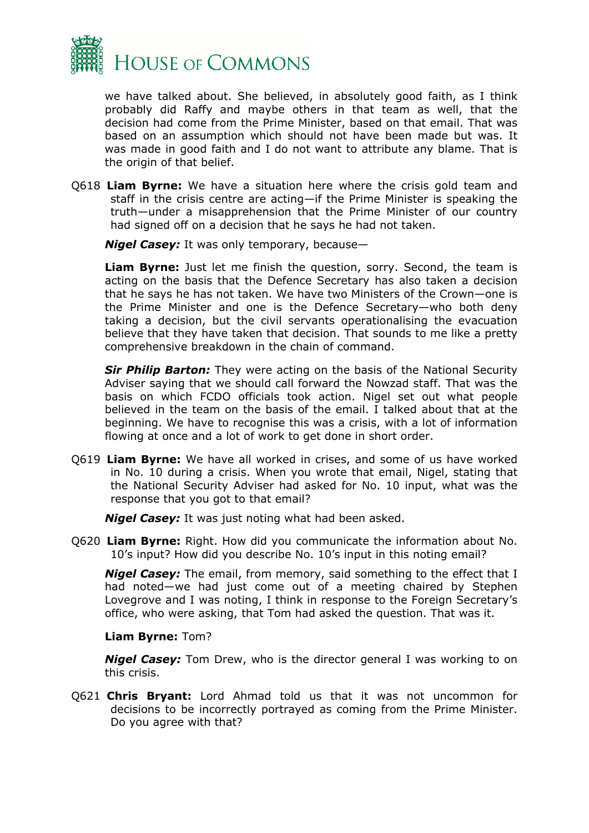

we have talked about. She believed, in absolutely good faith, as I think probably did Raffy and maybe others in that team as well, that the decision had come from the Prime Minister, based on that email. That was based on an assumption which should not have been made but was. It was made in good faith and I do not want to attribute any blame. That is the origin of that belief.

Q618 **Liam Byrne:** We have a situation here where the crisis gold team and staff in the crisis centre are acting—if the Prime Minister is speaking the truth—under a misapprehension that the Prime Minister of our country had signed off on a decision that he says he had not taken.

*Nigel Casey:* It was only temporary, because—

**Liam Byrne:** Just let me finish the question, sorry. Second, the team is acting on the basis that the Defence Secretary has also taken a decision that he says he has not taken. We have two Ministers of the Crown—one is the Prime Minister and one is the Defence Secretary—who both deny taking a decision, but the civil servants operationalising the evacuation believe that they have taken that decision. That sounds to me like a pretty comprehensive breakdown in the chain of command.

**Sir Philip Barton:** They were acting on the basis of the National Security Adviser saying that we should call forward the Nowzad staff. That was the basis on which FCDO officials took action. Nigel set out what people believed in the team on the basis of the email. I talked about that at the beginning. We have to recognise this was a crisis, with a lot of information flowing at once and a lot of work to get done in short order.

Q619 **Liam Byrne:** We have all worked in crises, and some of us have worked in No. 10 during a crisis. When you wrote that email, Nigel, stating that the National Security Adviser had asked for No. 10 input, what was the response that you got to that email?

*Nigel Casey:* It was just noting what had been asked.

Q620 **Liam Byrne:** Right. How did you communicate the information about No. 10's input? How did you describe No. 10's input in this noting email?

*Nigel Casey:* The email, from memory, said something to the effect that I had noted—we had just come out of a meeting chaired by Stephen Lovegrove and I was noting, I think in response to the Foreign Secretary's office, who were asking, that Tom had asked the question. That was it.

## **Liam Byrne:** Tom?

*Nigel Casey:* Tom Drew, who is the director general I was working to on this crisis.

Q621 **Chris Bryant:** Lord Ahmad told us that it was not uncommon for decisions to be incorrectly portrayed as coming from the Prime Minister. Do you agree with that?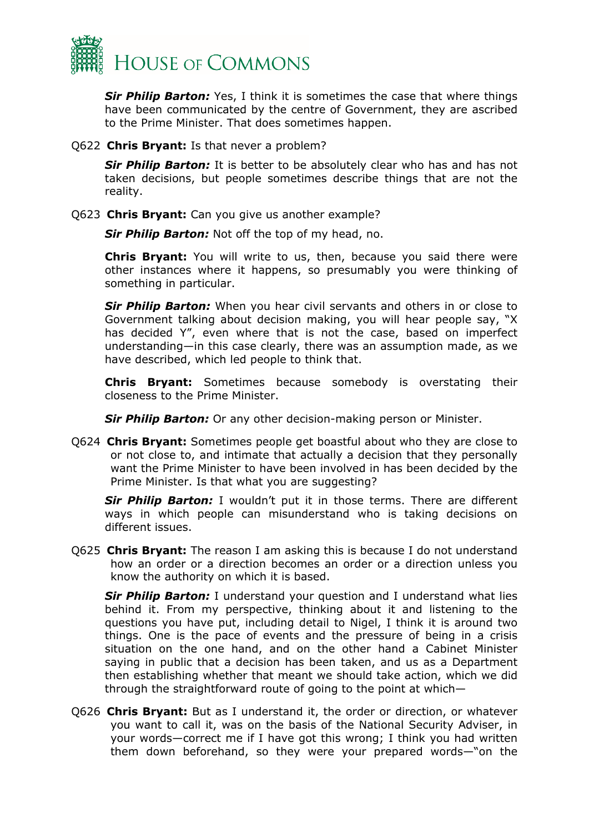

**Sir Philip Barton:** Yes, I think it is sometimes the case that where things have been communicated by the centre of Government, they are ascribed to the Prime Minister. That does sometimes happen.

Q622 **Chris Bryant:** Is that never a problem?

**Sir Philip Barton:** It is better to be absolutely clear who has and has not taken decisions, but people sometimes describe things that are not the reality.

Q623 **Chris Bryant:** Can you give us another example?

*Sir Philip Barton:* Not off the top of my head, no.

**Chris Bryant:** You will write to us, then, because you said there were other instances where it happens, so presumably you were thinking of something in particular.

**Sir Philip Barton:** When you hear civil servants and others in or close to Government talking about decision making, you will hear people say, "X has decided Y", even where that is not the case, based on imperfect understanding—in this case clearly, there was an assumption made, as we have described, which led people to think that.

**Chris Bryant:** Sometimes because somebody is overstating their closeness to the Prime Minister.

*Sir Philip Barton:* Or any other decision-making person or Minister.

Q624 **Chris Bryant:** Sometimes people get boastful about who they are close to or not close to, and intimate that actually a decision that they personally want the Prime Minister to have been involved in has been decided by the Prime Minister. Is that what you are suggesting?

**Sir Philip Barton:** I wouldn't put it in those terms. There are different ways in which people can misunderstand who is taking decisions on different issues.

Q625 **Chris Bryant:** The reason I am asking this is because I do not understand how an order or a direction becomes an order or a direction unless you know the authority on which it is based.

**Sir Philip Barton:** I understand your question and I understand what lies behind it. From my perspective, thinking about it and listening to the questions you have put, including detail to Nigel, I think it is around two things. One is the pace of events and the pressure of being in a crisis situation on the one hand, and on the other hand a Cabinet Minister saying in public that a decision has been taken, and us as a Department then establishing whether that meant we should take action, which we did through the straightforward route of going to the point at which—

Q626 **Chris Bryant:** But as I understand it, the order or direction, or whatever you want to call it, was on the basis of the National Security Adviser, in your words—correct me if I have got this wrong; I think you had written them down beforehand, so they were your prepared words—"on the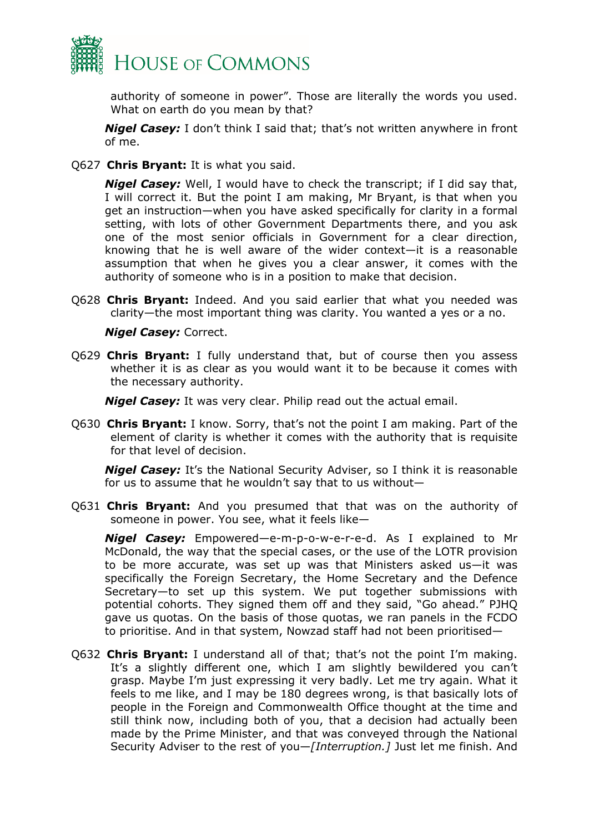

authority of someone in power". Those are literally the words you used. What on earth do you mean by that?

*Nigel Casey:* I don't think I said that; that's not written anywhere in front of me.

Q627 **Chris Bryant:** It is what you said.

*Nigel Casey:* Well, I would have to check the transcript; if I did say that, I will correct it. But the point I am making, Mr Bryant, is that when you get an instruction—when you have asked specifically for clarity in a formal setting, with lots of other Government Departments there, and you ask one of the most senior officials in Government for a clear direction, knowing that he is well aware of the wider context—it is a reasonable assumption that when he gives you a clear answer, it comes with the authority of someone who is in a position to make that decision.

Q628 **Chris Bryant:** Indeed. And you said earlier that what you needed was clarity—the most important thing was clarity. You wanted a yes or a no.

### *Nigel Casey:* Correct.

Q629 **Chris Bryant:** I fully understand that, but of course then you assess whether it is as clear as you would want it to be because it comes with the necessary authority.

*Nigel Casey:* It was very clear. Philip read out the actual email.

Q630 **Chris Bryant:** I know. Sorry, that's not the point I am making. Part of the element of clarity is whether it comes with the authority that is requisite for that level of decision.

*Nigel Casey:* It's the National Security Adviser, so I think it is reasonable for us to assume that he wouldn't say that to us without—

Q631 **Chris Bryant:** And you presumed that that was on the authority of someone in power. You see, what it feels like—

*Nigel Casey:* Empowered—e-m-p-o-w-e-r-e-d. As I explained to Mr McDonald, the way that the special cases, or the use of the LOTR provision to be more accurate, was set up was that Ministers asked us—it was specifically the Foreign Secretary, the Home Secretary and the Defence Secretary—to set up this system. We put together submissions with potential cohorts. They signed them off and they said, "Go ahead." PJHQ gave us quotas. On the basis of those quotas, we ran panels in the FCDO to prioritise. And in that system, Nowzad staff had not been prioritised—

Q632 **Chris Bryant:** I understand all of that; that's not the point I'm making. It's a slightly different one, which I am slightly bewildered you can't grasp. Maybe I'm just expressing it very badly. Let me try again. What it feels to me like, and I may be 180 degrees wrong, is that basically lots of people in the Foreign and Commonwealth Office thought at the time and still think now, including both of you, that a decision had actually been made by the Prime Minister, and that was conveyed through the National Security Adviser to the rest of you—*[Interruption.]* Just let me finish. And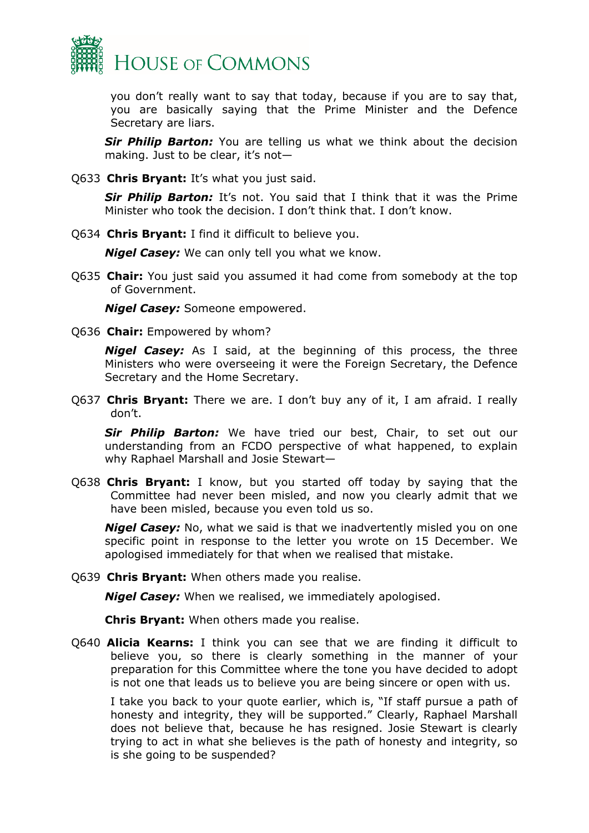

you don't really want to say that today, because if you are to say that, you are basically saying that the Prime Minister and the Defence Secretary are liars.

**Sir Philip Barton:** You are telling us what we think about the decision making. Just to be clear, it's not—

Q633 **Chris Bryant:** It's what you just said.

*Sir Philip Barton:* It's not. You said that I think that it was the Prime Minister who took the decision. I don't think that. I don't know.

Q634 **Chris Bryant:** I find it difficult to believe you.

*Nigel Casey:* We can only tell you what we know.

Q635 **Chair:** You just said you assumed it had come from somebody at the top of Government.

*Nigel Casey:* Someone empowered.

Q636 **Chair:** Empowered by whom?

*Nigel Casey:* As I said, at the beginning of this process, the three Ministers who were overseeing it were the Foreign Secretary, the Defence Secretary and the Home Secretary.

Q637 **Chris Bryant:** There we are. I don't buy any of it, I am afraid. I really don't.

*Sir Philip Barton:* We have tried our best, Chair, to set out our understanding from an FCDO perspective of what happened, to explain why Raphael Marshall and Josie Stewart—

Q638 **Chris Bryant:** I know, but you started off today by saying that the Committee had never been misled, and now you clearly admit that we have been misled, because you even told us so.

*Nigel Casey:* No, what we said is that we inadvertently misled you on one specific point in response to the letter you wrote on 15 December. We apologised immediately for that when we realised that mistake.

Q639 **Chris Bryant:** When others made you realise.

*Nigel Casey:* When we realised, we immediately apologised.

**Chris Bryant:** When others made you realise.

Q640 **Alicia Kearns:** I think you can see that we are finding it difficult to believe you, so there is clearly something in the manner of your preparation for this Committee where the tone you have decided to adopt is not one that leads us to believe you are being sincere or open with us.

I take you back to your quote earlier, which is, "If staff pursue a path of honesty and integrity, they will be supported." Clearly, Raphael Marshall does not believe that, because he has resigned. Josie Stewart is clearly trying to act in what she believes is the path of honesty and integrity, so is she going to be suspended?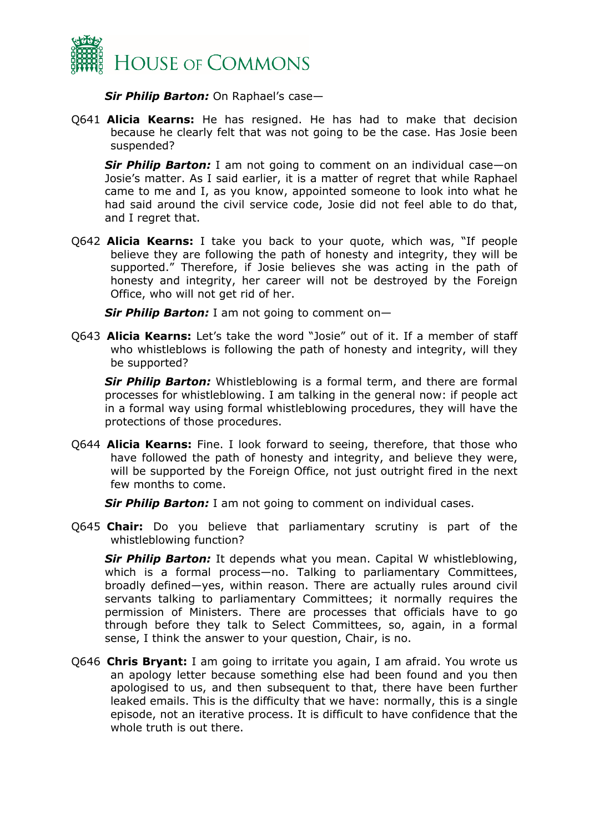

*Sir Philip Barton:* On Raphael's case—

Q641 **Alicia Kearns:** He has resigned. He has had to make that decision because he clearly felt that was not going to be the case. Has Josie been suspended?

*Sir Philip Barton:* I am not going to comment on an individual case—on Josie's matter. As I said earlier, it is a matter of regret that while Raphael came to me and I, as you know, appointed someone to look into what he had said around the civil service code, Josie did not feel able to do that, and I regret that.

Q642 **Alicia Kearns:** I take you back to your quote, which was, "If people believe they are following the path of honesty and integrity, they will be supported." Therefore, if Josie believes she was acting in the path of honesty and integrity, her career will not be destroyed by the Foreign Office, who will not get rid of her.

*Sir Philip Barton:* I am not going to comment on—

Q643 **Alicia Kearns:** Let's take the word "Josie" out of it. If a member of staff who whistleblows is following the path of honesty and integrity, will they be supported?

*Sir Philip Barton:* Whistleblowing is a formal term, and there are formal processes for whistleblowing. I am talking in the general now: if people act in a formal way using formal whistleblowing procedures, they will have the protections of those procedures.

Q644 **Alicia Kearns:** Fine. I look forward to seeing, therefore, that those who have followed the path of honesty and integrity, and believe they were, will be supported by the Foreign Office, not just outright fired in the next few months to come.

**Sir Philip Barton:** I am not going to comment on individual cases.

Q645 **Chair:** Do you believe that parliamentary scrutiny is part of the whistleblowing function?

*Sir Philip Barton:* It depends what you mean. Capital W whistleblowing, which is a formal process—no. Talking to parliamentary Committees, broadly defined—yes, within reason. There are actually rules around civil servants talking to parliamentary Committees; it normally requires the permission of Ministers. There are processes that officials have to go through before they talk to Select Committees, so, again, in a formal sense, I think the answer to your question, Chair, is no.

Q646 **Chris Bryant:** I am going to irritate you again, I am afraid. You wrote us an apology letter because something else had been found and you then apologised to us, and then subsequent to that, there have been further leaked emails. This is the difficulty that we have: normally, this is a single episode, not an iterative process. It is difficult to have confidence that the whole truth is out there.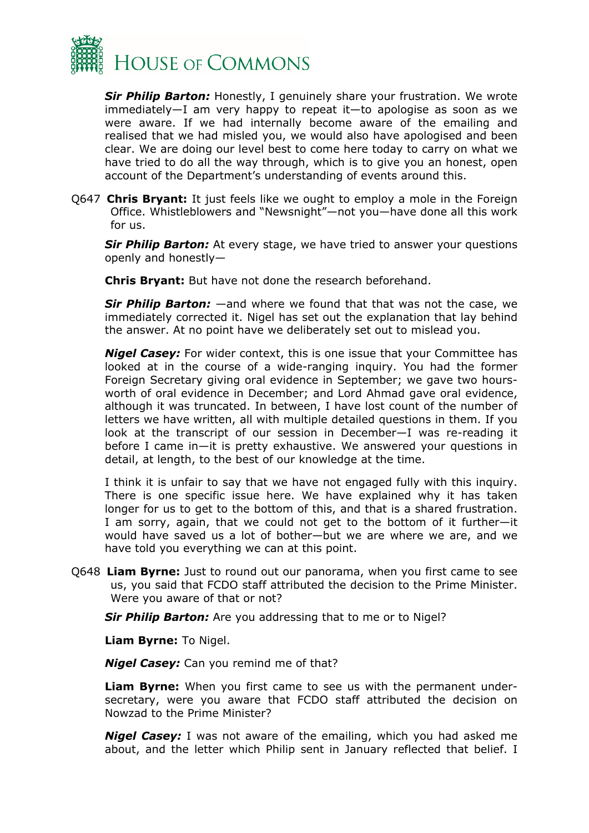

*Sir Philip Barton:* Honestly, I genuinely share your frustration. We wrote immediately—I am very happy to repeat it—to apologise as soon as we were aware. If we had internally become aware of the emailing and realised that we had misled you, we would also have apologised and been clear. We are doing our level best to come here today to carry on what we have tried to do all the way through, which is to give you an honest, open account of the Department's understanding of events around this.

Q647 **Chris Bryant:** It just feels like we ought to employ a mole in the Foreign Office. Whistleblowers and "Newsnight"—not you—have done all this work for us.

**Sir Philip Barton:** At every stage, we have tried to answer your questions openly and honestly—

**Chris Bryant:** But have not done the research beforehand.

*Sir Philip Barton:* —and where we found that that was not the case, we immediately corrected it. Nigel has set out the explanation that lay behind the answer. At no point have we deliberately set out to mislead you.

*Nigel Casey:* For wider context, this is one issue that your Committee has looked at in the course of a wide-ranging inquiry. You had the former Foreign Secretary giving oral evidence in September; we gave two hoursworth of oral evidence in December; and Lord Ahmad gave oral evidence, although it was truncated. In between, I have lost count of the number of letters we have written, all with multiple detailed questions in them. If you look at the transcript of our session in December—I was re-reading it before I came in—it is pretty exhaustive. We answered your questions in detail, at length, to the best of our knowledge at the time.

I think it is unfair to say that we have not engaged fully with this inquiry. There is one specific issue here. We have explained why it has taken longer for us to get to the bottom of this, and that is a shared frustration. I am sorry, again, that we could not get to the bottom of it further—it would have saved us a lot of bother—but we are where we are, and we have told you everything we can at this point.

Q648 **Liam Byrne:** Just to round out our panorama, when you first came to see us, you said that FCDO staff attributed the decision to the Prime Minister. Were you aware of that or not?

*Sir Philip Barton:* Are you addressing that to me or to Nigel?

**Liam Byrne:** To Nigel.

*Nigel Casey:* Can you remind me of that?

**Liam Byrne:** When you first came to see us with the permanent undersecretary, were you aware that FCDO staff attributed the decision on Nowzad to the Prime Minister?

*Nigel Casey:* I was not aware of the emailing, which you had asked me about, and the letter which Philip sent in January reflected that belief. I